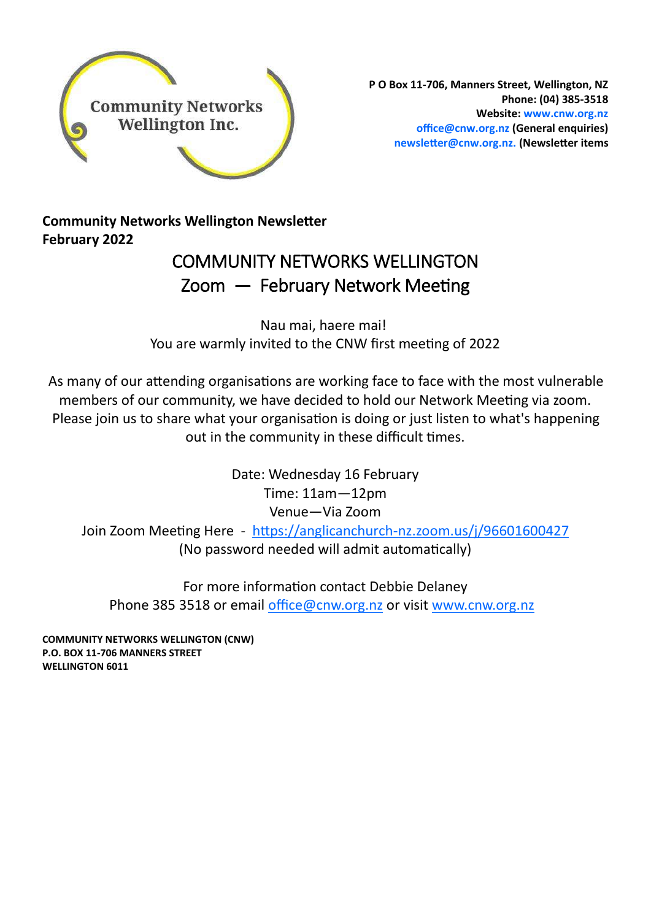

**P O Box 11-706, Manners Street, Wellington, NZ Phone: (04) 385-3518 Website: www.cnw.org.nz office@cnw.org.nz (General enquiries) newsletter@cnw.org.nz. (Newsletter items**

**Community Networks Wellington Newsletter February 2022**

### COMMUNITY NETWORKS WELLINGTON Zoom — February Network Meeting

Nau mai, haere mai! You are warmly invited to the CNW first meeting of 2022

As many of our attending organisations are working face to face with the most vulnerable members of our community, we have decided to hold our Network Meeting via zoom. Please join us to share what your organisation is doing or just listen to what's happening out in the community in these difficult times.

> Date: Wednesday 16 February Time: 11am—12pm Venue—Via Zoom

Join Zoom Meeting Here - https://anglicanchurch-[nz.zoom.us/j/96601600427](https://anglicanchurch-nz.zoom.us/j/96601600427)  (No password needed will admit automatically)

For more information contact Debbie Delaney Phone 385 3518 or email [office@cnw.org.nz](mailto:office@cnw.org.nz) or visit [www.cnw.org.nz](https://www.cnw.org.nz/our-next-meeting.html)

**COMMUNITY NETWORKS WELLINGTON (CNW) P.O. BOX 11-706 MANNERS STREET WELLINGTON 6011**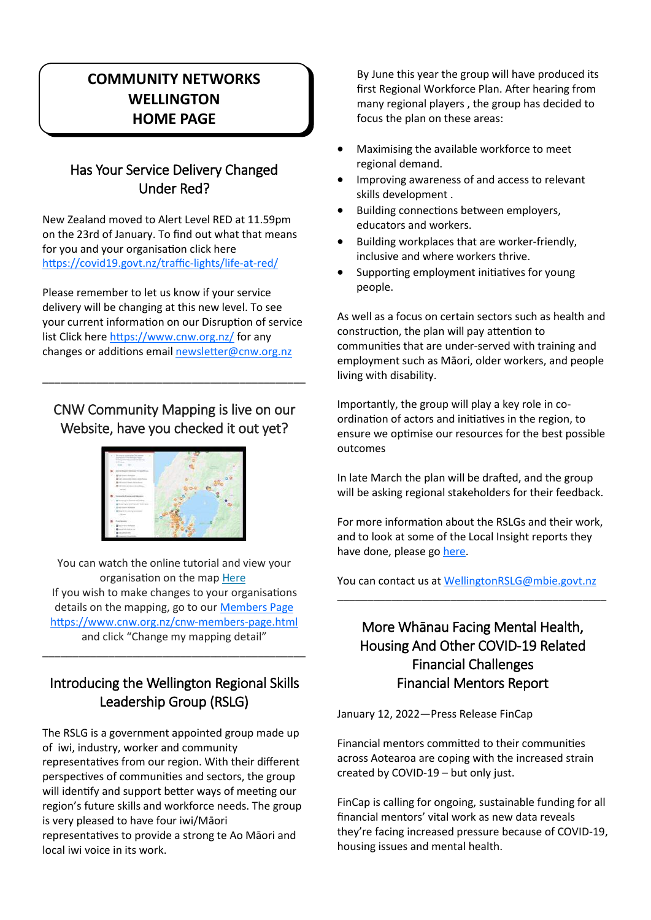### **COMMUNITY NETWORKS WELLINGTON HOME PAGE**

### Has Your Service Delivery Changed Under Red?

New Zealand moved to Alert Level RED at 11.59pm on the 23rd of January. To find out what that means for you and your organisation click here [https://covid19.govt.nz/traffic](https://covid19.govt.nz/traffic-lights/life-at-red/)-lights/life-at-red/

Please remember to let us know if your service delivery will be changing at this new level. To see your current information on our Disruption of service list Click here <https://www.cnw.org.nz/> for any changes or additions email [newsletter@cnw.org.nz](mailto:newsletter@cnw.org.nz)

### CNW Community Mapping is live on our Website, have you checked it out yet?

**\_\_\_\_\_\_\_\_\_\_\_\_\_\_\_\_\_\_\_\_\_\_\_\_\_\_\_\_\_\_\_\_\_\_\_\_\_\_\_\_\_\_\_\_**



You can watch the online tutorial and view your organisation on the map [Here](https://www.cnw.org.nz/community-map.html) If you wish to make changes to your organisations details on the mapping, go to our [Members Page](https://www.cnw.org.nz/cnw-members-page.html) [https://www.cnw.org.nz/cnw](https://www.cnw.org.nz/cnw-members-page.html)-members-page.html and click "Change my mapping detail"

### Introducing the Wellington Regional Skills Leadership Group (RSLG)

\_\_\_\_\_\_\_\_\_\_\_\_\_\_\_\_\_\_\_\_\_\_\_\_\_\_\_\_\_\_\_\_\_\_\_\_\_\_\_\_\_\_\_\_

The RSLG is a government appointed group made up of iwi, industry, worker and community representatives from our region. With their different perspectives of communities and sectors, the group will identify and support better ways of meeting our region's future skills and workforce needs. The group is very pleased to have four iwi/Māori representatives to provide a strong te Ao Māori and local iwi voice in its work.

By June this year the group will have produced its first Regional Workforce Plan. After hearing from many regional players , the group has decided to focus the plan on these areas:

- Maximising the available workforce to meet regional demand.
- Improving awareness of and access to relevant skills development .
- Building connections between employers, educators and workers.
- Building workplaces that are worker-friendly, inclusive and where workers thrive.
- Supporting employment initiatives for young people.

As well as a focus on certain sectors such as health and construction, the plan will pay attention to communities that are under-served with training and employment such as Māori, older workers, and people living with disability.

Importantly, the group will play a key role in coordination of actors and initiatives in the region, to ensure we optimise our resources for the best possible outcomes

In late March the plan will be drafted, and the group will be asking regional stakeholders for their feedback.

For more information about the RSLGs and their work, and to look at some of the Local Insight reports they have done, please go here.

You can contact us at [WellingtonRSLG@mbie.govt.nz](mailto:WellingtonRSLG@mbie.govt.nz) \_\_\_\_\_\_\_\_\_\_\_\_\_\_\_\_\_\_\_\_\_\_\_\_\_\_\_\_\_\_\_\_\_\_\_\_\_\_\_\_\_\_\_\_\_

### More Whānau Facing Mental Health, Housing And Other COVID-19 Related Financial Challenges Financial Mentors Report

January 12, 2022—Press Release FinCap

Financial mentors committed to their communities across Aotearoa are coping with the increased strain created by COVID-19 – but only just.

FinCap is calling for ongoing, sustainable funding for all financial mentors' vital work as new data reveals they're facing increased pressure because of COVID-19, housing issues and mental health.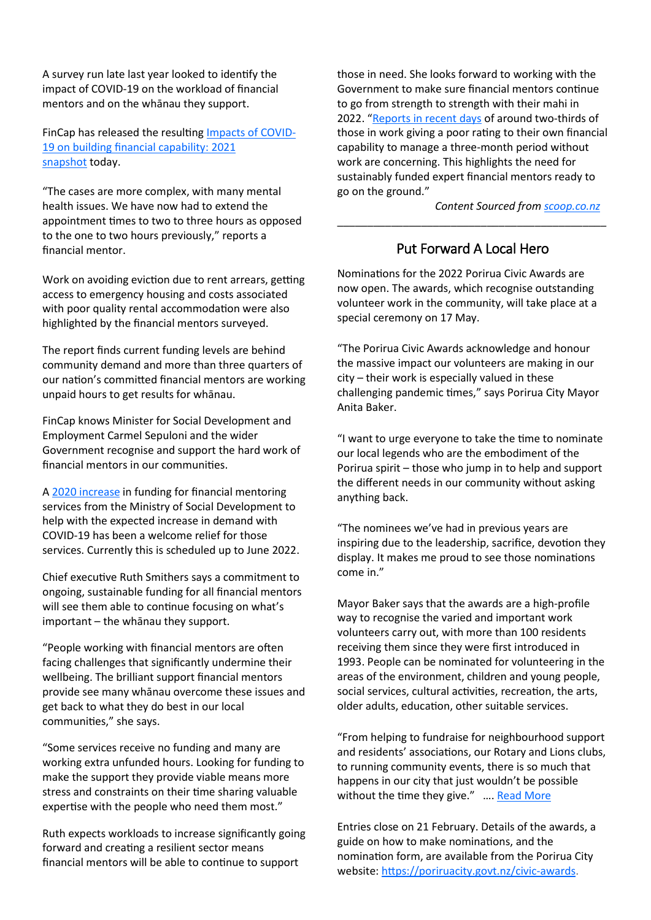A survey run late last year looked to identify the impact of COVID-19 on the workload of financial mentors and on the whānau they support.

FinCap has released the resulting [Impacts of COVID](https://www.fincap.org.nz/wp-content/uploads/2022/01/COVID-19-financial-mentor-snapshot.pdf)-[19 on building financial capability: 2021](https://www.fincap.org.nz/wp-content/uploads/2022/01/COVID-19-financial-mentor-snapshot.pdf)  [snapshot](https://www.fincap.org.nz/wp-content/uploads/2022/01/COVID-19-financial-mentor-snapshot.pdf) today.

"The cases are more complex, with many mental health issues. We have now had to extend the appointment times to two to three hours as opposed to the one to two hours previously," reports a financial mentor.

Work on avoiding eviction due to rent arrears, getting access to emergency housing and costs associated with poor quality rental accommodation were also highlighted by the financial mentors surveyed.

The report finds current funding levels are behind community demand and more than three quarters of our nation's committed financial mentors are working unpaid hours to get results for whānau.

FinCap knows Minister for Social Development and Employment Carmel Sepuloni and the wider Government recognise and support the hard work of financial mentors in our communities.

A [2020 increase](https://www.beehive.govt.nz/release/35m-build-financial-resilience-new-zealanders) in funding for financial mentoring services from the Ministry of Social Development to help with the expected increase in demand with COVID-19 has been a welcome relief for those services. Currently this is scheduled up to June 2022.

Chief executive Ruth Smithers says a commitment to ongoing, sustainable funding for all financial mentors will see them able to continue focusing on what's important – the whānau they support.

"People working with financial mentors are often facing challenges that significantly undermine their wellbeing. The brilliant support financial mentors provide see many whānau overcome these issues and get back to what they do best in our local communities," she says.

"Some services receive no funding and many are working extra unfunded hours. Looking for funding to make the support they provide viable means more stress and constraints on their time sharing valuable expertise with the people who need them most."

Ruth expects workloads to increase significantly going forward and creating a resilient sector means financial mentors will be able to continue to support

those in need. She looks forward to working with the Government to make sure financial mentors continue to go from strength to strength with their mahi in 2022. "[Reports in recent days](http://www.voxy.co.nz/business/5/397529) of around two-thirds of those in work giving a poor rating to their own financial capability to manage a three-month period without work are concerning. This highlights the need for sustainably funded expert financial mentors ready to go on the ground."

*Content Sourced from [scoop.co.nz](http://www.scoop.co.nz/)*

### Put Forward A Local Hero

\_\_\_\_\_\_\_\_\_\_\_\_\_\_\_\_\_\_\_\_\_\_\_\_\_\_\_\_\_\_\_\_\_\_\_\_\_\_\_\_\_\_\_\_\_

Nominations for the 2022 Porirua Civic Awards are now open. The awards, which recognise outstanding volunteer work in the community, will take place at a special ceremony on 17 May.

"The Porirua Civic Awards acknowledge and honour the massive impact our volunteers are making in our city – their work is especially valued in these challenging pandemic times," says Porirua City Mayor Anita Baker.

"I want to urge everyone to take the time to nominate our local legends who are the embodiment of the Porirua spirit – those who jump in to help and support the different needs in our community without asking anything back.

"The nominees we've had in previous years are inspiring due to the leadership, sacrifice, devotion they display. It makes me proud to see those nominations come in."

Mayor Baker says that the awards are a high-profile way to recognise the varied and important work volunteers carry out, with more than 100 residents receiving them since they were first introduced in 1993. People can be nominated for volunteering in the areas of the environment, children and young people, social services, cultural activities, recreation, the arts, older adults, education, other suitable services.

"From helping to fundraise for neighbourhood support and residents' associations, our Rotary and Lions clubs, to running community events, there is so much that happens in our city that just wouldn't be possible without the time they give." .... [Read More](https://community.scoop.co.nz/2022/01/put-forward-a-local-hero/)

Entries close on 21 February. Details of the awards, a guide on how to make nominations, and the nomination form, are available from the Porirua City website: [https://poriruacity.govt.nz/civic](https://poriruacity.govt.nz/civic-awards)-awards.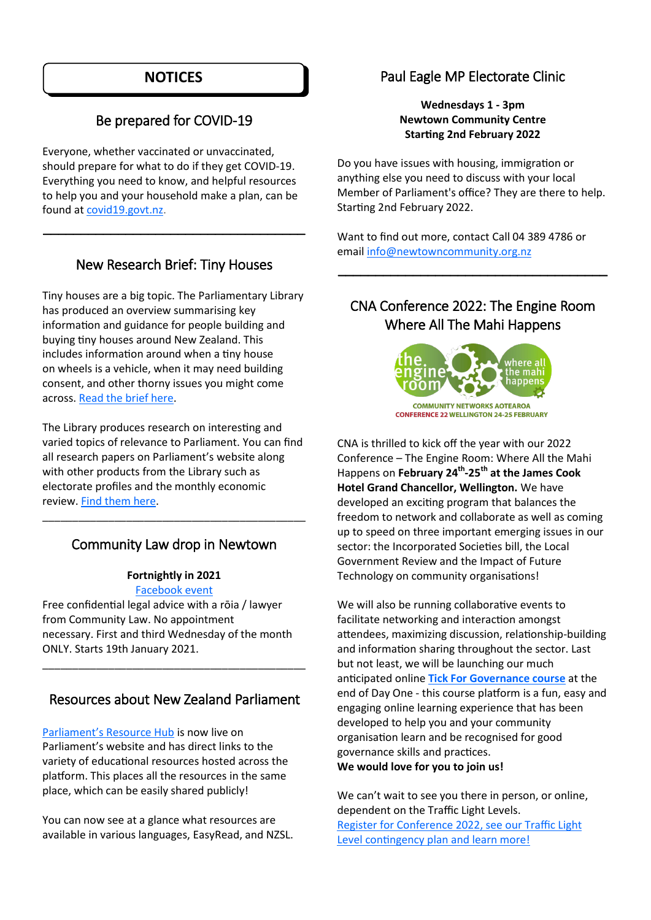### **NOTICES**

### Be prepared for COVID-19

Everyone, whether vaccinated or unvaccinated, should prepare for what to do if they get COVID-19. Everything you need to know, and helpful resources to help you and your household make a plan, can be found at [covid19.govt.nz.](https://govt.us8.list-manage.com/track/click?u=ea258b1df943178660013ccd9&id=50a4c26d1a&e=f2e539580b)

### New Research Brief: Tiny Houses

\_\_\_\_\_\_\_\_\_\_\_\_\_\_\_\_\_\_\_\_\_\_\_\_\_\_\_\_\_\_\_\_\_\_\_

Tiny houses are a big topic. The Parliamentary Library has produced an overview summarising key information and guidance for people building and buying tiny houses around New Zealand. This includes information around when a tiny house on wheels is a vehicle, when it may need building consent, and other thorny issues you might come across. [Read the brief here.](https://www.parliament.nz/en/pb/library-research-papers/research-papers/library-research-brief-tiny-houses-in-new-zealand/)

The Library produces research on interesting and varied topics of relevance to Parliament. You can find all research papers on Parliament's website along with other products from the Library such as electorate profiles and the monthly economic review. [Find them here.](https://www.parliament.nz/en/pb/library-research-papers/)

### Community Law drop in Newtown

\_\_\_\_\_\_\_\_\_\_\_\_\_\_\_\_\_\_\_\_\_\_\_\_\_\_\_\_\_\_\_\_\_\_\_\_\_\_\_\_\_\_\_\_

#### **Fortnightly in 2021**

[Facebook event](https://www.facebook.com/events/1209909186165246/?)

Free confidential legal advice with a rōia / lawyer from Community Law. No appointment necessary. First and third Wednesday of the month ONLY. Starts 19th January 2021.

### Resources about New Zealand Parliament

\_\_\_\_\_\_\_\_\_\_\_\_\_\_\_\_\_\_\_\_\_\_\_\_\_\_\_\_\_\_\_\_\_\_\_\_\_\_\_\_\_\_\_\_

[Parliament's Resource Hub](https://www.parliament.nz/en/visit-and-learn/resources-about-new-zealand-parliament/) is now live on Parliament's website and has direct links to the variety of educational resources hosted across the platform. This places all the resources in the same place, which can be easily shared publicly!

You can now see at a glance what resources are available in various languages, EasyRead, and NZSL.

### Paul Eagle MP Electorate Clinic

**Wednesdays 1 - 3pm Newtown Community Centre Starting 2nd February 2022**

Do you have issues with housing, immigration or anything else you need to discuss with your local Member of Parliament's office? They are there to help. Starting 2nd February 2022.

Want to find out more, contact Call 04 389 4786 or email [info@newtowncommunity.org.nz](mailto:info@newtowncommunity.org.nz)

### CNA Conference 2022: The Engine Room Where All The Mahi Happens

\_\_\_\_\_\_\_\_\_\_\_\_\_\_\_\_\_\_\_\_\_\_\_\_\_\_\_\_\_\_\_\_\_\_\_\_



CNA is thrilled to kick off the year with our 2022 Conference – The Engine Room: Where All the Mahi Happens on **February 24th -25th at the James Cook Hotel Grand Chancellor, Wellington.** We have developed an exciting program that balances the freedom to network and collaborate as well as coming up to speed on three important emerging issues in our sector: the Incorporated Societies bill, the Local Government Review and the Impact of Future Technology on community organisations!

We will also be running collaborative events to facilitate networking and interaction amongst attendees, maximizing discussion, relationship-building and information sharing throughout the sector. Last but not least, we will be launching our much anticipated online **[Tick For Governance course](https://www.communitynetworksaotearoa.org.nz/tickforgovernance)** at the end of Day One - this course platform is a fun, easy and engaging online learning experience that has been developed to help you and your community organisation learn and be recognised for good governance skills and practices. **We would love for you to join us!**

We can't wait to see you there in person, or online, dependent on the Traffic Light Levels. [Register for Conference 2022, see our Traffic Light](https://www.communitynetworksaotearoa.org.nz/conference-2022)  [Level contingency plan and learn more!](https://www.communitynetworksaotearoa.org.nz/conference-2022)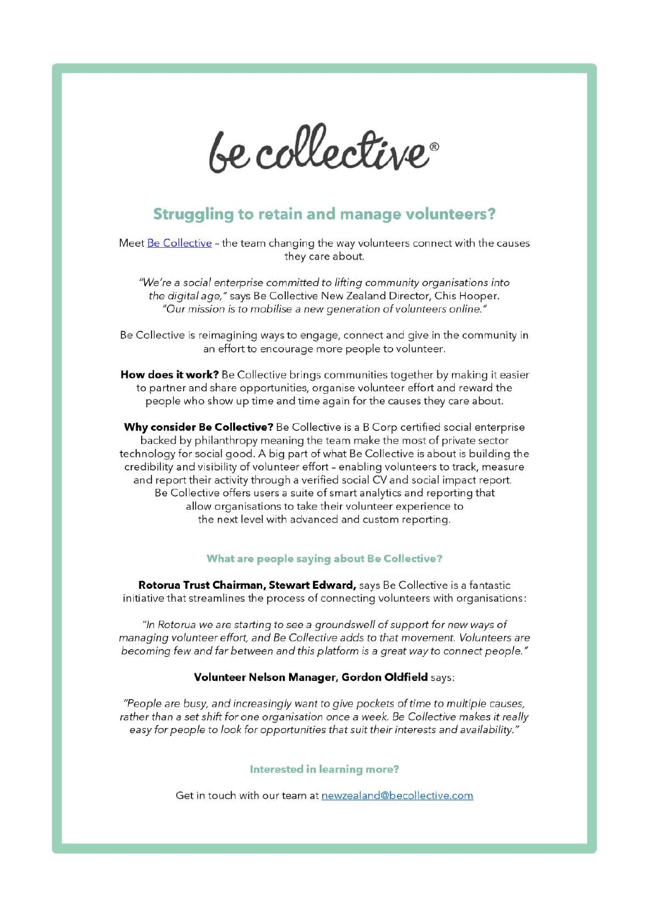

### **Struggling to retain and manage volunteers?**

Meet Be Collective - the team changing the way volunteers connect with the causes they care about.

"We're a social enterprise committed to lifting community organisations into the digital age," says Be Collective New Zealand Director, Chis Hooper. "Our mission is to mobilise a new generation of volunteers online."

Be Collective is reimagining ways to engage, connect and give in the community in an effort to encourage more people to volunteer.

How does it work? Be Collective brings communities together by making it easier to partner and share opportunities, organise volunteer effort and reward the people who show up time and time again for the causes they care about.

Why consider Be Collective? Be Collective is a B Corp certified social enterprise backed by philanthropy meaning the team make the most of private sector technology for social good. A big part of what Be Collective is about is building the credibility and visibility of volunteer effort - enabling volunteers to track, measure and report their activity through a verified social CV and social impact report. Be Collective offers users a suite of smart analytics and reporting that allow organisations to take their volunteer experience to the next level with advanced and custom reporting.

#### What are people saying about Be Collective?

Rotorua Trust Chairman, Stewart Edward, says Be Collective is a fantastic initiative that streamlines the process of connecting volunteers with organisations:

"In Rotorua we are starting to see a groundswell of support for new ways of managing volunteer effort, and Be Collective adds to that movement. Volunteers are becoming few and far between and this platform is a great way to connect people."

#### Volunteer Nelson Manager, Gordon Oldfield says:

"People are busy, and increasingly want to give pockets of time to multiple causes, rather than a set shift for one organisation once a week. Be Collective makes it really easy for people to look for opportunities that suit their interests and availability."

#### Interested in learning more?

Get in touch with our team at newzealand@becollective.com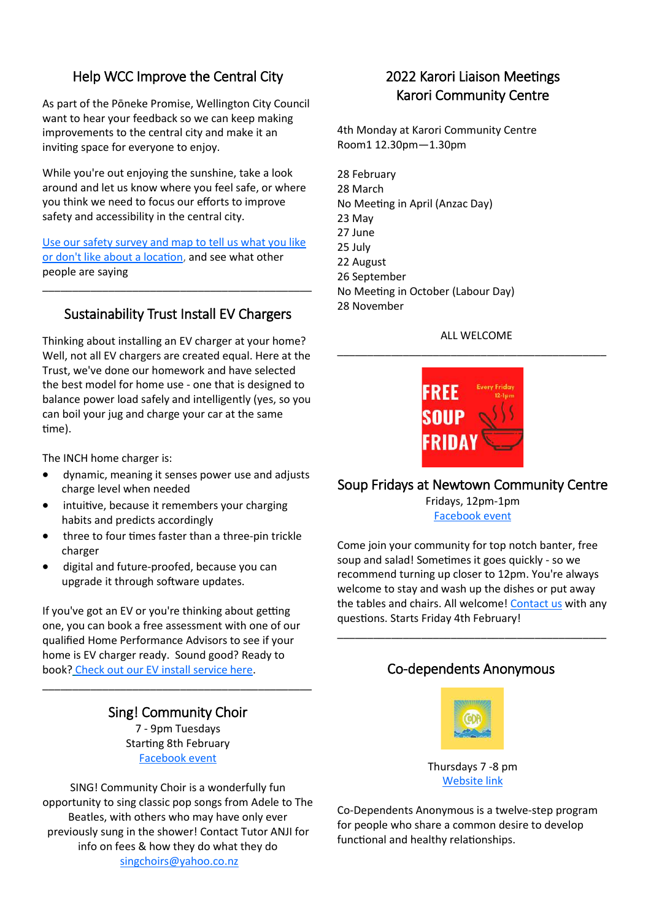### Help WCC Improve the Central City

As part of the Pōneke Promise, Wellington City Council want to hear your feedback so we can keep making improvements to the central city and make it an inviting space for everyone to enjoy.

While you're out enjoying the sunshine, take a look around and let us know where you feel safe, or where you think we need to focus our efforts to improve safety and accessibility in the central city.

[Use our safety survey and map to tell us what you like](https://govt.us8.list-manage.com/track/click?u=ea258b1df943178660013ccd9&id=1273442c88&e=f2e539580b)  [or don't like about a location,](https://govt.us8.list-manage.com/track/click?u=ea258b1df943178660013ccd9&id=1273442c88&e=f2e539580b) and see what other people are saying

### Sustainability Trust Install EV Chargers

\_\_\_\_\_\_\_\_\_\_\_\_\_\_\_\_\_\_\_\_\_\_\_\_\_\_\_\_\_\_\_\_\_\_\_\_\_\_\_\_\_\_\_\_\_

Thinking about installing an EV charger at your home? Well, not all EV chargers are created equal. Here at the Trust, we've done our homework and have selected the best model for home use - one that is designed to balance power load safely and intelligently (yes, so you can boil your jug and charge your car at the same time).

The INCH home charger is:

- dynamic, meaning it senses power use and adjusts charge level when needed
- intuitive, because it remembers your charging habits and predicts accordingly
- three to four times faster than a three-pin trickle charger
- digital and future-proofed, because you can upgrade it through software updates.

If you've got an EV or you're thinking about getting one, you can book a free assessment with one of our qualified Home Performance Advisors to see if your home is EV charger ready. Sound good? Ready to book? [Check out our EV install service here.](https://sustaintrust.us16.list-manage.com/track/click?u=e3ea40b79a9c26edd1e13c2bc&id=c10c22b542&e=8d1044af44)

> Sing! Community Choir 7 - 9pm Tuesdays

\_\_\_\_\_\_\_\_\_\_\_\_\_\_\_\_\_\_\_\_\_\_\_\_\_\_\_\_\_\_\_\_\_\_\_\_\_\_\_\_\_\_\_\_\_

Starting 8th February [Facebook](https://www.facebook.com/SINGCommunitychoirNZ) event

SING! Community Choir is a wonderfully fun opportunity to sing classic pop songs from Adele to The Beatles, with others who may have only ever previously sung in the shower! Contact Tutor ANJI for info on fees & how they do what they do [singchoirs@yahoo.co.nz](mailto:singchoirs@yahoo.co.nz)

### 2022 Karori Liaison Meetings Karori Community Centre

4th Monday at Karori Community Centre Room1 12.30pm—1.30pm

28 February 28 March No Meeting in April (Anzac Day) 23 May 27 June 25 July 22 August 26 September No Meeting in October (Labour Day) 28 November

### ALL WELCOME \_\_\_\_\_\_\_\_\_\_\_\_\_\_\_\_\_\_\_\_\_\_\_\_\_\_\_\_\_\_\_\_\_\_\_\_\_\_\_\_\_\_\_\_\_



### Soup Fridays at Newtown Community Centre

Fridays, 12pm-1pm [Facebook event](https://www.facebook.com/events/635357147782903)

Come join your community for top notch banter, free soup and salad! Sometimes it goes quickly - so we recommend turning up closer to 12pm. You're always welcome to stay and wash up the dishes or put away the tables and chairs. All welcome! [Contact us](mailto:info@newtowncommunity.org.nz) with any questions. Starts Friday 4th February!

### Co-dependents Anonymous

\_\_\_\_\_\_\_\_\_\_\_\_\_\_\_\_\_\_\_\_\_\_\_\_\_\_\_\_\_\_\_\_\_\_\_\_\_\_\_\_\_\_\_\_\_



Thursdays 7 -8 pm [Website link](http://www.coda.org/)

Co-Dependents Anonymous is a twelve-step program for people who share a common desire to develop functional and healthy relationships.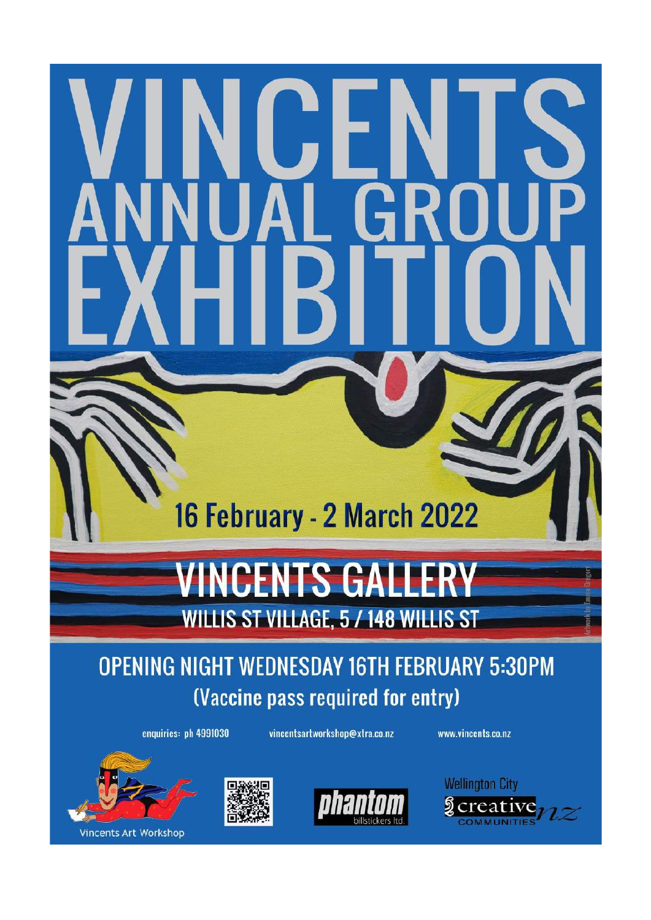## 16 February - 2 March 2022

# **VINCENTS GALL**

**WILLIS ST VILLAGE, 5 / 148 WILLIS ST** 

### **OPENING NIGHT WEDNESDAY 16TH FEBRUARY 5:30PM** (Vaccine pass required for entry)

enquiries: ph 4991030

vincentsartworkshop@xtra.co.nz

www.vincents.co.nz







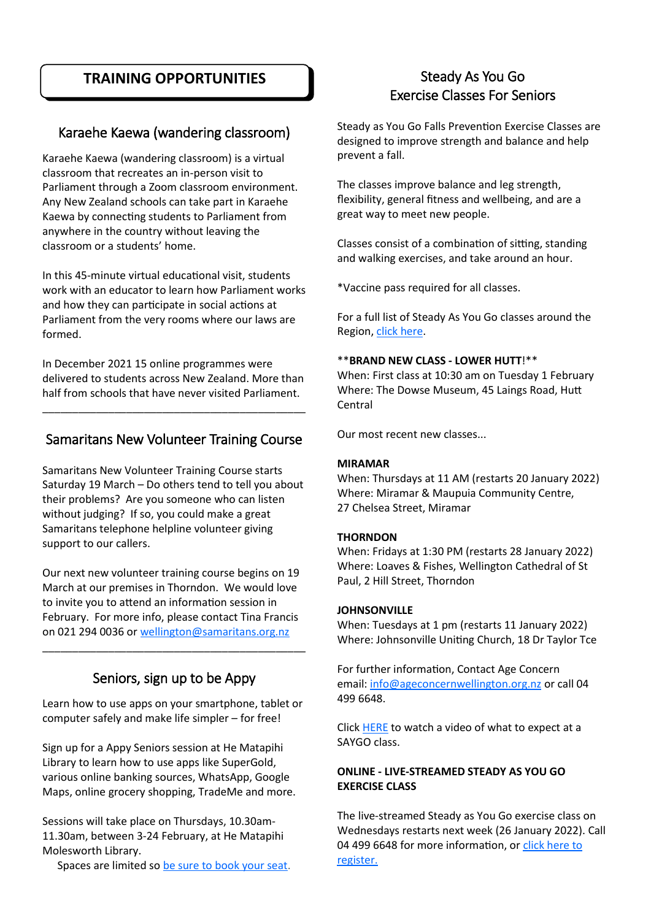### **TRAINING OPPORTUNITIES**

### Karaehe Kaewa (wandering classroom)

Karaehe Kaewa (wandering classroom) is a virtual classroom that recreates an in-person visit to Parliament through a Zoom classroom environment. Any New Zealand schools can take part in Karaehe Kaewa by connecting students to Parliament from anywhere in the country without leaving the classroom or a students' home.

In this 45-minute virtual educational visit, students work with an educator to learn how Parliament works and how they can participate in social actions at Parliament from the very rooms where our laws are formed.

In December 2021 15 online programmes were delivered to students across New Zealand. More than half from schools that have never visited Parliament.

### Samaritans New Volunteer Training Course

\_\_\_\_\_\_\_\_\_\_\_\_\_\_\_\_\_\_\_\_\_\_\_\_\_\_\_\_\_\_\_\_\_\_\_\_\_\_\_\_\_\_\_\_

Samaritans New Volunteer Training Course starts Saturday 19 March – Do others tend to tell you about their problems? Are you someone who can listen without judging? If so, you could make a great Samaritans telephone helpline volunteer giving support to our callers.

Our next new volunteer training course begins on 19 March at our premises in Thorndon. We would love to invite you to attend an information session in February. For more info, please contact Tina Francis on 021 294 0036 or [wellington@samaritans.org.nz](mailto:wellington@samaritans.org.nz)

### Seniors, sign up to be Appy

\_\_\_\_\_\_\_\_\_\_\_\_\_\_\_\_\_\_\_\_\_\_\_\_\_\_\_\_\_\_\_\_\_\_\_\_\_\_\_\_\_\_\_\_

Learn how to use apps on your smartphone, tablet or computer safely and make life simpler – for free!

Sign up for a Appy Seniors session at He Matapihi Library to learn how to use apps like SuperGold, various online banking sources, WhatsApp, Google Maps, online grocery shopping, TradeMe and more.

Sessions will take place on Thursdays, 10.30am-11.30am, between 3-24 February, at He Matapihi Molesworth Library.

Spaces are limited so [be sure to book your seat.](https://govt.us8.list-manage.com/track/click?u=ea258b1df943178660013ccd9&id=173effb16c&e=f2e539580b)

### Steady As You Go Exercise Classes For Seniors

Steady as You Go Falls Prevention Exercise Classes are designed to improve strength and balance and help prevent a fall.

The classes improve balance and leg strength, flexibility, general fitness and wellbeing, and are a great way to meet new people.

Classes consist of a combination of sitting, standing and walking exercises, and take around an hour.

\*Vaccine pass required for all classes.

For a full list of Steady As You Go classes around the Region, [click here.](http://m.vega.works/ls/click?upn=d4TiXLz3k8dHMWJzD0xYYIfQknAoEdJkInHIbFF3ElfxSuFcLeXZTaZ5KOJ2IwudIGBfBmabjjNCyzXNw-2Be88Q-3D-3D5vK2_j1NY4tOmgW5cyg1YOSgxqiE-2F5rr3VHSPnGlYSfSv69zgF6EvYmfVqno1ILedXIQRv6SfE3uYhatMYA-2FBUcF8A4gdxPKtaaE7l-2BrhF7Vtq811JVer-2BYYA)

### \*\***BRAND NEW CLASS - LOWER HUTT**!\*\*

When: First class at 10:30 am on Tuesday 1 February Where: The Dowse Museum, 45 Laings Road, Hutt Central

Our most recent new classes...

### **MIRAMAR**

When: Thursdays at 11 AM (restarts 20 January 2022) Where: Miramar & Maupuia Community Centre, 27 Chelsea Street, Miramar

### **THORNDON**

When: Fridays at 1:30 PM (restarts 28 January 2022) Where: Loaves & Fishes, Wellington Cathedral of St Paul, 2 Hill Street, Thorndon

### **JOHNSONVILLE**

When: Tuesdays at 1 pm (restarts 11 January 2022) Where: Johnsonville Uniting Church, 18 Dr Taylor Tce

For further information, Contact Age Concern email: [info@ageconcernwellington.org.nz](mailto:info@ageconcernwellington.org.nz?subject=SAYGO%20CLasses) or call 04 499 6648.

Click [HERE](http://m.vega.works/ls/click?upn=d4TiXLz3k8dHMWJzD0xYYPB3C7J6nc8XOInJ2qXtd18YMoC3eB-2F9t2sRkUG-2BevwpNuBBAsu-2BMKd3PKPmJlkKCUAoC42CSbbfR81isF-2FIA-2BvKkfgb7IQuDA3c2CXC3XtTHdE-2Br0XtxxM9VJH0jTgvYAg-2FgdOZBlaWIJG6u0MQlT4-3DBH6h_j1NY4tOmgW5cyg1YOSgxqiE-2F5rr3) to watch a video of what to expect at a SAYGO class.

### **ONLINE - LIVE-STREAMED STEADY AS YOU GO EXERCISE CLASS**

The live-streamed Steady as You Go exercise class on Wednesdays restarts next week (26 January 2022). Call 04 499 6648 for more information, or click here to [register.](http://m.vega.works/ls/click?upn=d4TiXLz3k8dHMWJzD0xYYBYr-2F66ZVE-2FDwK7EmEjiyDXGkUzschDWUOJV8Aw34uVpzqcr1RABFM5TlWd126xq3hnZnR1-2FbsXqFeyTsTQZeGk1WBrz64TRdaUQOBoQTh96Jpa4afZcSsUvBERGptK7bA-3D-3DG67I_j1NY4tOmgW5cyg1YOSgxqiE-2F5rr3VHSPnGlYSfSv69zgF6EvYmfVqn)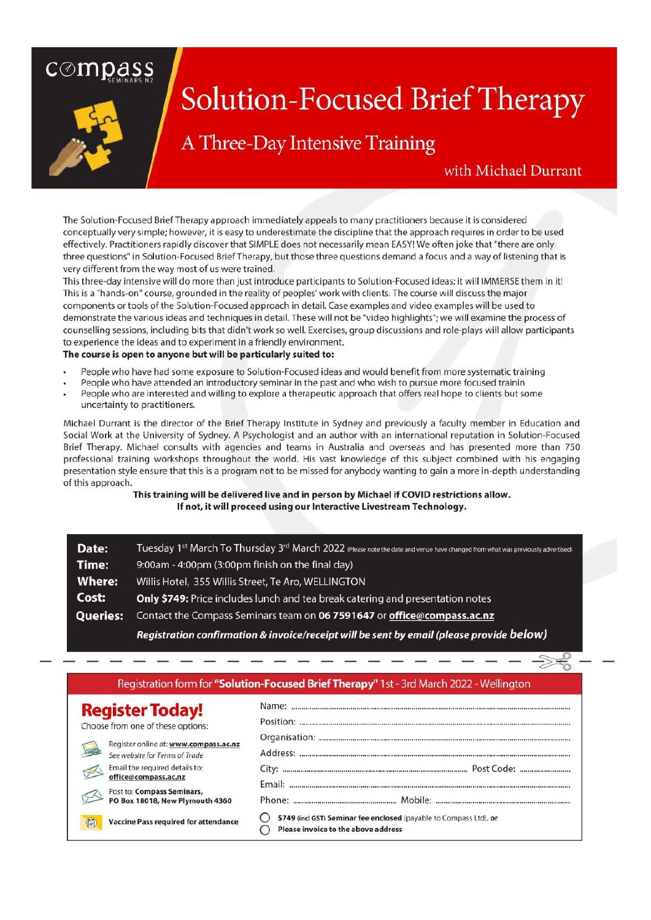### $\overline{\mathsf{compass}}$



### **Solution-Focused Brief Therapy**

### A Three-Day Intensive Training

### with Michael Durrant

The Solution-Focused Brief Therapy approach immediately appeals to many practitioners because it is considered conceptually very simple; however, it is easy to underestimate the discipline that the approach requires in order to be used effectively. Practitioners rapidly discover that SIMPLE does not necessarily mean EASY! We often joke that "there are only three questions" in Solution-Focused Brief Therapy, but those three questions demand a focus and a way of listening that is very different from the way most of us were trained.

This three-day intensive will do more than just introduce participants to Solution-Focused ideas; it will IMMERSE them in it! This is a "hands-on" course, grounded in the reality of peoples' work with clients. The course will discuss the major components or tools of the Solution-Focused approach in detail. Case examples and video examples will be used to demonstrate the various ideas and techniques in detail. These will not be "video highlights"; we will examine the process of counselling sessions, including bits that didn't work so well. Exercises, group discussions and role-plays will allow participants to experience the ideas and to experiment in a friendly environment.

#### The course is open to anyone but will be particularly suited to:

- People who have had some exposure to Solution-Focused ideas and would benefit from more systematic training
- People who have attended an introductory seminar in the past and who wish to pursue more focused trainin
- People who are interested and willing to explore a therapeutic approach that offers real hope to clients but some uncertainty to practitioners.

Michael Durrant is the director of the Brief Therapy Institute in Sydney and previously a faculty member in Education and Social Work at the University of Sydney. A Psychologist and an author with an international reputation in Solution-Focused Brief Therapy. Michael consults with agencies and teams in Australia and overseas and has presented more than 750 professional training workshops throughout the world. His vast knowledge of this subject combined with his engaging presentation style ensure that this is a program not to be missed for anybody wanting to gain a more in-depth understanding of this approach.

This training will be delivered live and in person by Michael if COVID restrictions allow. If not, it will proceed using our Interactive Livestream Technology.

| Date:           | Tuesday 1st March To Thursday 3 <sup>rd</sup> March 2022 (Please note the date and venue have changed from what was previously advertised) |
|-----------------|--------------------------------------------------------------------------------------------------------------------------------------------|
| Time:           | 9:00am - 4:00pm (3:00pm finish on the final day)                                                                                           |
| <b>Where:</b>   | Willis Hotel, 355 Willis Street, Te Aro, WELLINGTON                                                                                        |
| Cost:           | Only \$749: Price includes lunch and tea break catering and presentation notes                                                             |
| <b>Queries:</b> | Contact the Compass Seminars team on 06 7591647 or office@compass.ac.nz                                                                    |
|                 | Registration confirmation & invoice/receipt will be sent by email (please provide below)                                                   |

| Registration form for "Solution-Focused Brief Therapy" 1st - 3rd March 2022 - Wellington |                                                                    |  |
|------------------------------------------------------------------------------------------|--------------------------------------------------------------------|--|
| <b>Register Today!</b>                                                                   |                                                                    |  |
| Choose from one of these options:                                                        | Position:                                                          |  |
| Register online at: www.compass.ac.nz                                                    |                                                                    |  |
| See website for Terms of Trade                                                           |                                                                    |  |
| Email the required details to:                                                           |                                                                    |  |
| office@compass.ac.nz                                                                     |                                                                    |  |
| Post to: Compass Seminars,<br>PO Box 18018, New Plymouth 4360                            |                                                                    |  |
| <b>Vaccine Pass required for attendance</b>                                              | \$749 (incl GST) Seminar fee enclosed (payable to Compass Ltd), or |  |
| $\overline{C}$                                                                           | Please invoice to the above address                                |  |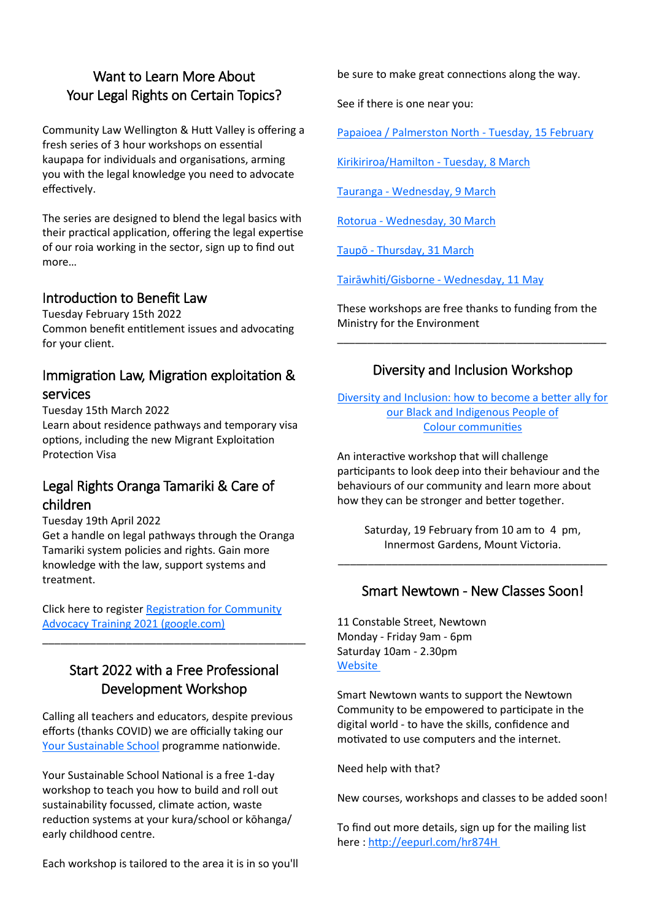### Want to Learn More About Your Legal Rights on Certain Topics?

Community Law Wellington & Hutt Valley is offering a fresh series of 3 hour workshops on essential kaupapa for individuals and organisations, arming you with the legal knowledge you need to advocate effectively.

The series are designed to blend the legal basics with their practical application, offering the legal expertise of our roia working in the sector, sign up to find out more…

### Introduction to Benefit Law

Tuesday February 15th 2022 Common benefit entitlement issues and advocating for your client.

### Immigration Law, Migration exploitation & services

Tuesday 15th March 2022 Learn about residence pathways and temporary visa options, including the new Migrant Exploitation Protection Visa

### Legal Rights Oranga Tamariki & Care of children

Tuesday 19th April 2022

Get a handle on legal pathways through the Oranga Tamariki system policies and rights. Gain more knowledge with the law, support systems and treatment.

Click here to register [Registration for Community](https://docs.google.com/forms/d/e/1FAIpQLSepKo6I2AhdbavH8rbYsbgX0WchIkbhHH5pR9Xk2XNztTGdZA/viewform)  [Advocacy Training 2021 \(google.com\)](https://docs.google.com/forms/d/e/1FAIpQLSepKo6I2AhdbavH8rbYsbgX0WchIkbhHH5pR9Xk2XNztTGdZA/viewform)

### Start 2022 with a Free Professional Development Workshop

\_\_\_\_\_\_\_\_\_\_\_\_\_\_\_\_\_\_\_\_\_\_\_\_\_\_\_\_\_\_\_\_\_\_\_\_\_\_\_\_\_\_\_\_

Calling all teachers and educators, despite previous efforts (thanks COVID) we are officially taking our [Yo](https://sustaintrust.us16.list-manage.com/track/click?u=e3ea40b79a9c26edd1e13c2bc&id=e3c4c70944&e=8d1044af44)[ur Sustainable School](https://sustaintrust.us16.list-manage.com/track/click?u=e3ea40b79a9c26edd1e13c2bc&id=44dec61d92&e=8d1044af44) programme nationwide.

Your Sustainable School National is a free 1-day workshop to teach you how to build and roll out sustainability focussed, climate action, waste reduction systems at your kura/school or kōhanga/ early childhood centre.

Each workshop is tailored to the area it is in so you'll

be sure to make great connections along the way.

See if there is one near you:

[Papaioea / Palmerston North](https://sustaintrust.us16.list-manage.com/track/click?u=e3ea40b79a9c26edd1e13c2bc&id=0da2c07835&e=8d1044af44) - Tuesday, 15 February

[Kirikiriroa/Hamilton](https://sustaintrust.us16.list-manage.com/track/click?u=e3ea40b79a9c26edd1e13c2bc&id=1ec9c23670&e=8d1044af44) - Tuesday, 8 March

Tauranga - [Wednesday, 9 March](https://sustaintrust.us16.list-manage.com/track/click?u=e3ea40b79a9c26edd1e13c2bc&id=d03fac24a2&e=8d1044af44)

Rotorua - [Wednesday, 30 March](https://sustaintrust.us16.list-manage.com/track/click?u=e3ea40b79a9c26edd1e13c2bc&id=ea7f216f43&e=8d1044af44)

Taupō - [Thursday, 31 March](https://sustaintrust.us16.list-manage.com/track/click?u=e3ea40b79a9c26edd1e13c2bc&id=6b47222093&e=8d1044af44)

[Tairāwhiti/Gisborne](https://sustaintrust.us16.list-manage.com/track/click?u=e3ea40b79a9c26edd1e13c2bc&id=6cd8221e62&e=8d1044af44) - Wednesday, 11 May

These workshops are free thanks to funding from the Ministry for the Environment

\_\_\_\_\_\_\_\_\_\_\_\_\_\_\_\_\_\_\_\_\_\_\_\_\_\_\_\_\_\_\_\_\_\_\_\_\_\_\_\_\_\_\_\_\_

### Diversity and Inclusion Workshop

[Diversity and Inclusion: how to become a better ally for](https://sustaintrust.us16.list-manage.com/track/click?u=e3ea40b79a9c26edd1e13c2bc&id=5f0d8a10fe&e=8d1044af44)  [our Black and Indigenous People of](https://sustaintrust.us16.list-manage.com/track/click?u=e3ea40b79a9c26edd1e13c2bc&id=5f0d8a10fe&e=8d1044af44)  Colour [communities](https://sustaintrust.us16.list-manage.com/track/click?u=e3ea40b79a9c26edd1e13c2bc&id=5f0d8a10fe&e=8d1044af44)

An interactive workshop that will challenge participants to look deep into their behaviour and the behaviours of our community and learn more about how they can be stronger and better together.

Saturday, 19 February from 10 am to 4 pm, Innermost Gardens, Mount Victoria.

\_\_\_\_\_\_\_\_\_\_\_\_\_\_\_\_\_\_\_\_\_\_\_\_\_\_\_\_\_\_\_\_\_\_\_\_\_\_\_\_\_\_\_\_\_

### Smart Newtown - New Classes Soon!

11 Constable Street, Newtown Monday - Friday 9am - 6pm Saturday 10am - 2.30pm **[Website](https://www.smartnewtown.org.nz/)** 

Smart Newtown wants to support the Newtown Community to be empowered to participate in the digital world - to have the skills, confidence and motivated to use computers and the internet.

Need help with that?

New courses, workshops and classes to be added soon!

To find out more details, sign up for the mailing list here: [http://eepurl.com/hr874H](http://eepurl.com/hr874H%C2%A0)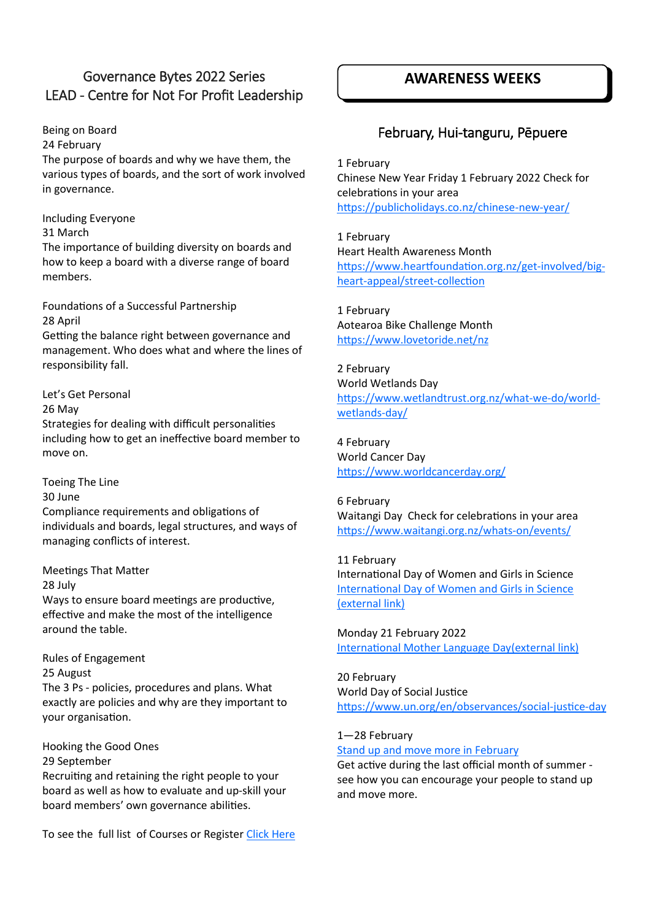### Governance Bytes 2022 Series LEAD - Centre for Not For Profit Leadership

Being on Board

24 February

The purpose of boards and why we have them, the various types of boards, and the sort of work involved in governance.

Including Everyone

31 March

The importance of building diversity on boards and how to keep a board with a diverse range of board members.

Foundations of a Successful Partnership 28 April

Getting the balance right between governance and management. Who does what and where the lines of responsibility fall.

Let's Get Personal

26 May

Strategies for dealing with difficult personalities including how to get an ineffective board member to move on.

Toeing The Line

30 June

Compliance requirements and obligations of individuals and boards, legal structures, and ways of managing conflicts of interest.

Meetings That Matter

28 July

Ways to ensure board meetings are productive, effective and make the most of the intelligence around the table.

Rules of Engagement 25 August The 3 Ps - policies, procedures and plans. What exactly are policies and why are they important to your organisation.

Hooking the Good Ones 29 September Recruiting and retaining the right people to your board as well as how to evaluate and up-skill your board members' own governance abilities.

To see the full list of Courses or Register [Click Here](https://events.humanitix.com/governance-bytes-workshop-series-axco1d7u?mc_cid=44cda74ab7&mc_eid=5e4e53512a)

### **AWARENESS WEEKS**

### February, Hui-tanguru, Pēpuere

1 February Chinese New Year Friday 1 February 2022 Check for celebrations in your area [https://publicholidays.co.nz/chinese](https://publicholidays.co.nz/chinese-new-year/)-new-year/

1 February Heart Health Awareness Month [https://www.heartfoundation.org.nz/get](https://www.heartfoundation.org.nz/get-involved/big-heart-appeal/street-collection)-involved/bigheart-[appeal/street](https://www.heartfoundation.org.nz/get-involved/big-heart-appeal/street-collection)-collection

1 February Aotearoa Bike Challenge Month <https://www.lovetoride.net/nz>

2 February World Wetlands Day [https://www.wetlandtrust.org.nz/what](https://www.wetlandtrust.org.nz/what-we-do/world-wetlands-day/)-we-do/world[wetlands](https://www.wetlandtrust.org.nz/what-we-do/world-wetlands-day/)-day/

4 February World Cancer Day <https://www.worldcancerday.org/>

6 February Waitangi Day Check for celebrations in your area [https://www.waitangi.org.nz/whats](https://www.waitangi.org.nz/whats-on/events/)-on/events/

11 February International Day of Women and Girls in Science [International Day of Women and Girls in Science](https://womeninscienceday.org/WISID_WP/) [\(external link\)](https://womeninscienceday.org/WISID_WP/)

Monday 21 February 2022 [International Mother Language Day\(external link\)](http://www.un.org/en/events/motherlanguageday/)

20 February World Day of Social Justice [https://www.un.org/en/observances/social](https://www.un.org/en/observances/social-justice-day)-justice-day

1—28 February

[Stand up and move more in February](https://wellplace.nz/event-calendar/move-more-in-february/?date=2022-02-01)

Get active during the last official month of summer see how you can encourage your people to stand up and move more.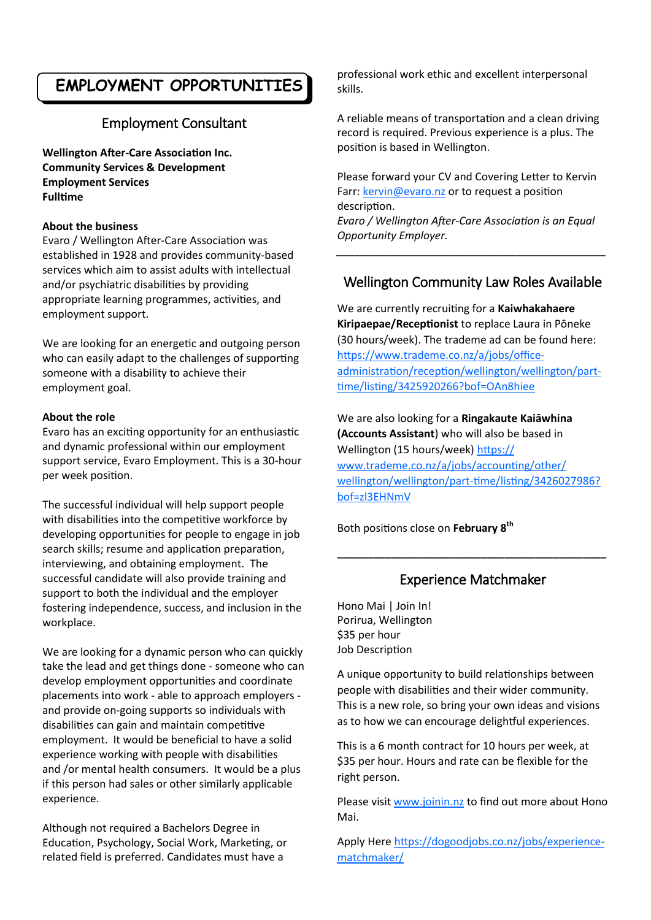### **EMPLOYMENT OPPORTUNITIES**

### Employment Consultant

**Wellington After-Care Association Inc. Community Services & Development Employment Services Fulltime**

### **About the business**

Evaro / Wellington After-Care Association was established in 1928 and provides community-based services which aim to assist adults with intellectual and/or psychiatric disabilities by providing appropriate learning programmes, activities, and employment support.

We are looking for an energetic and outgoing person who can easily adapt to the challenges of supporting someone with a disability to achieve their employment goal.

### **About the role**

Evaro has an exciting opportunity for an enthusiastic and dynamic professional within our employment support service, Evaro Employment. This is a 30-hour per week position.

The successful individual will help support people with disabilities into the competitive workforce by developing opportunities for people to engage in job search skills; resume and application preparation, interviewing, and obtaining employment. The successful candidate will also provide training and support to both the individual and the employer fostering independence, success, and inclusion in the workplace.

We are looking for a dynamic person who can quickly take the lead and get things done - someone who can develop employment opportunities and coordinate placements into work - able to approach employers and provide on-going supports so individuals with disabilities can gain and maintain competitive employment. It would be beneficial to have a solid experience working with people with disabilities and /or mental health consumers. It would be a plus if this person had sales or other similarly applicable experience.

Although not required a Bachelors Degree in Education, Psychology, Social Work, Marketing, or related field is preferred. Candidates must have a

professional work ethic and excellent interpersonal skills.

A reliable means of transportation and a clean driving record is required. Previous experience is a plus. The position is based in Wellington.

Please forward your CV and Covering Letter to Kervin Farr: [kervin@evaro.nz](mailto:kervin@evaro.nz) or to request a position description. *Evaro / Wellington After-Care Association is an Equal Opportunity Employer.*

### Wellington Community Law Roles Available

*\_\_\_\_\_\_\_\_\_\_\_\_\_\_\_\_\_\_\_\_\_\_\_\_\_\_\_\_\_\_\_\_\_\_\_\_\_\_\_\_\_\_\_\_\_*

We are currently recruiting for a **Kaiwhakahaere Kiripaepae/Receptionist** to replace Laura in Pōneke (30 hours/week). The trademe ad can be found here: [https://www.trademe.co.nz/a/jobs/office](https://www.trademe.co.nz/a/jobs/office-administration/reception/wellington/wellington/part-time/listing/3425920266?bof=OAn8hiee)[administration/reception/wellington/wellington/part](https://www.trademe.co.nz/a/jobs/office-administration/reception/wellington/wellington/part-time/listing/3425920266?bof=OAn8hiee)[time/listing/3425920266?bof=OAn8hiee](https://www.trademe.co.nz/a/jobs/office-administration/reception/wellington/wellington/part-time/listing/3425920266?bof=OAn8hiee)

We are also looking for a **Ringakaute Kaiāwhina (Accounts Assistant**) who will also be based in Wellington (15 hours/week) [https://](https://www.trademe.co.nz/a/jobs/accounting/other/wellington/wellington/part-time/listing/3426027986?bof=zl3EHNmV) [www.trademe.co.nz/a/jobs/accounting/other/](https://www.trademe.co.nz/a/jobs/accounting/other/wellington/wellington/part-time/listing/3426027986?bof=zl3EHNmV) [wellington/wellington/part](https://www.trademe.co.nz/a/jobs/accounting/other/wellington/wellington/part-time/listing/3426027986?bof=zl3EHNmV)-time/listing/3426027986? [bof=zl3EHNmV](https://www.trademe.co.nz/a/jobs/accounting/other/wellington/wellington/part-time/listing/3426027986?bof=zl3EHNmV)

Both positions close on **February 8th**

### Experience Matchmaker

**\_\_\_\_\_\_\_\_\_\_\_\_\_\_\_\_\_\_\_\_\_\_\_\_\_\_\_\_\_\_\_\_\_\_\_\_\_\_\_\_\_\_\_\_\_**

Hono Mai | Join In! Porirua, Wellington \$35 per hour Job Description

A unique opportunity to build relationships between people with disabilities and their wider community. This is a new role, so bring your own ideas and visions as to how we can encourage delightful experiences.

This is a 6 month contract for 10 hours per week, at \$35 per hour. Hours and rate can be flexible for the right person.

Please visit [www.joinin.nz](http://www.joinin.nz) to find out more about Hono Mai.

Apply Here [https://dogoodjobs.co.nz/jobs/experience](https://dogoodjobs.co.nz/jobs/experience-matchmaker/)[matchmaker/](https://dogoodjobs.co.nz/jobs/experience-matchmaker/)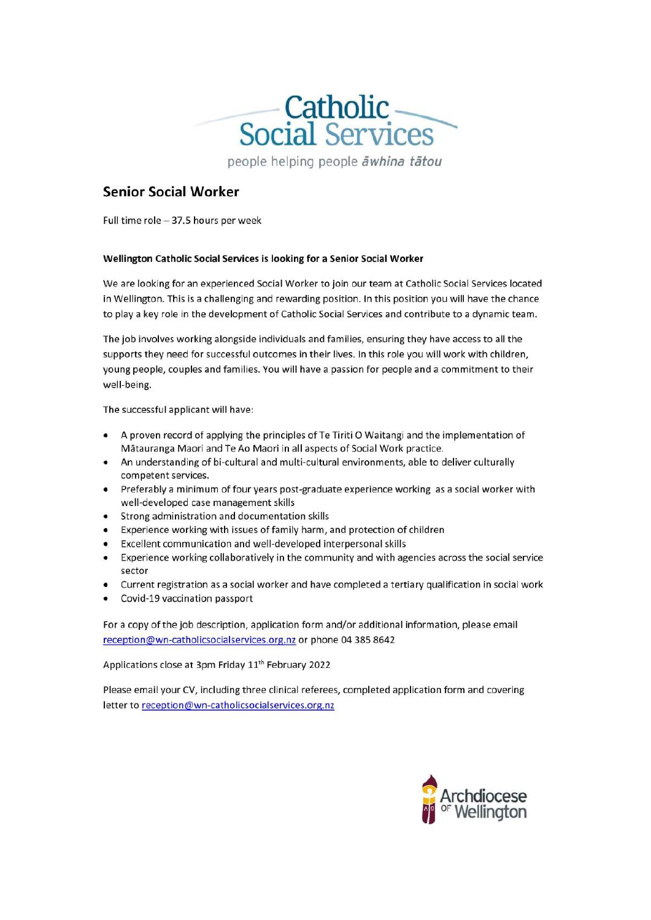

people helping people āwhina tātou

### **Senior Social Worker**

Full time role - 37.5 hours per week

#### Wellington Catholic Social Services is looking for a Senior Social Worker

We are looking for an experienced Social Worker to join our team at Catholic Social Services located in Wellington. This is a challenging and rewarding position. In this position you will have the chance to play a key role in the development of Catholic Social Services and contribute to a dynamic team.

The job involves working alongside individuals and families, ensuring they have access to all the supports they need for successful outcomes in their lives. In this role you will work with children, young people, couples and families. You will have a passion for people and a commitment to their well-being.

The successful applicant will have:

- A proven record of applying the principles of Te Tiriti O Waitangi and the implementation of Mātauranga Maori and Te Ao Maori in all aspects of Social Work practice.
- An understanding of bi-cultural and multi-cultural environments, able to deliver culturally competent services.
- Preferably a minimum of four years post-graduate experience working as a social worker with ٠ well-developed case management skills
- Strong administration and documentation skills
- Experience working with issues of family harm, and protection of children
- Excellent communication and well-developed interpersonal skills
- Experience working collaboratively in the community and with agencies across the social service  $\bullet$ sector
- Current registration as a social worker and have completed a tertiary qualification in social work
- Covid-19 vaccination passport

For a copy of the job description, application form and/or additional information, please email reception@wn-catholicsocialservices.org.nz or phone 04 385 8642

Applications close at 3pm Friday 11<sup>th</sup> February 2022

Please email your CV, including three clinical referees, completed application form and covering letter to reception@wn-catholicsocialservices.org.nz

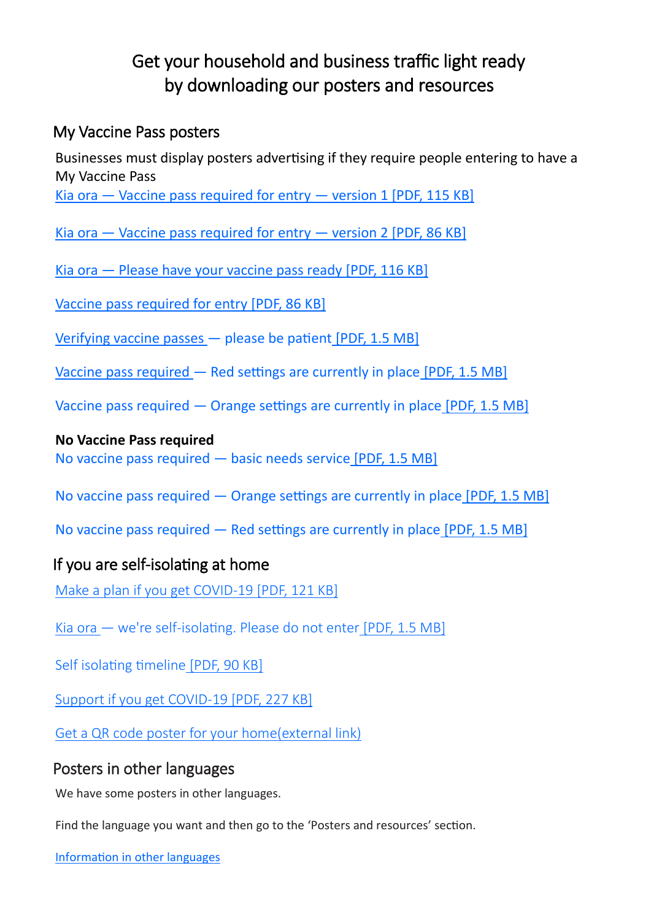### Get your household and business traffic light ready by downloading our posters and resources

### My Vaccine Pass posters

Businesses must display posters advertising if they require people entering to have a My Vaccine Pass Kia ora  $-$  Vaccine pass required for entry  $-$  version 1 [PDF, 115 KB]

Kia ora  $-$  Vaccine pass required for entry  $-$  version 2 [PDF, 86 KB]

Kia ora — [Please have your vaccine pass ready](https://covid19.govt.nz/assets/resources/vaccine-resources/COVID-19-Kia-ora-Please-have-your-vaccine-pass-ready.pdf) [PDF, 116 KB]

[Vaccine pass required for entry](https://covid19.govt.nz/assets/resources/vaccine-resources/COVID-19-Vaccine-pass-required-for-entry.pdf) [PDF, 86 KB]

[Verifying vaccine passes](https://covid19.govt.nz/assets/COVID-19-Protection-Framework/0281MBI_CPF-B1_A2_Asset-9.pdf) — please be patient [PDF, 1.5 MB]

Vaccine pass required — [Red settings are currently in place](https://covid19.govt.nz/assets/COVID-19-Protection-Framework/CPF_VaccinePassRequiredRedSettings_A4_V1.pdf) [PDF, 1.5 MB]

Vaccine pass required — [Orange settings are currently in place](https://covid19.govt.nz/assets/COVID-19-Protection-Framework/CPF_VaccinePassOrangeSettings_A4_V1.pdf) [PDF, 1.5 MB]

### **No Vaccine Pass required**

[No vaccine pass required —](https://covid19.govt.nz/assets/COVID-19-Protection-Framework/CPF_NoVaccinePassBasicNeedsService_A4_V1.pdf) basic needs service [PDF, 1.5 MB]

No vaccine pass required — [Orange settings are currently in place](https://covid19.govt.nz/assets/COVID-19-Protection-Framework/CPF_NoVaccinePassOrangeSettings_A4_V1.pdf) [PDF, 1.5 MB]

No vaccine pass required — [Red settings are currently in place](https://covid19.govt.nz/assets/COVID-19-Protection-Framework/CPF_NoVaccinePassRedSettings_A4_V1.pdf) [PDF, 1.5 MB]

### If you are self-isolating at home

[Make a plan if you get COVID](https://covid19.govt.nz/assets/resources/posters/COVID-19-Readiness-Checklist.pdf)-19 [PDF, 121 KB]

Kia ora — we're self-[isolating. Please do not enter](https://covid19.govt.nz/assets/COVID-19-Protection-Framework/CPF_GreetingSelfIsolatingDoNotEnter_A4_V1.pdf) [PDF, 1.5 MB]

[Self isolating timeline](https://covid19.govt.nz/assets/resources/posters/care-in-the-community-self-isolating-timeline.pdf) [PDF, 90 KB]

[Support if you get COVID](https://covid19.govt.nz/assets/resources/posters/care-in-the-community-support-if-you-get-COVID-19.pdf)-19 [PDF, 227 KB]

[Get a QR code poster for your home\(external link\)](https://qrform.tracing.covid19.govt.nz/?_ga=2.64790828.2028072038.1643154582-1198755226.1631576191)

### Posters in other languages

We have some posters in other languages.

Find the language you want and then go to the 'Posters and resources' section.